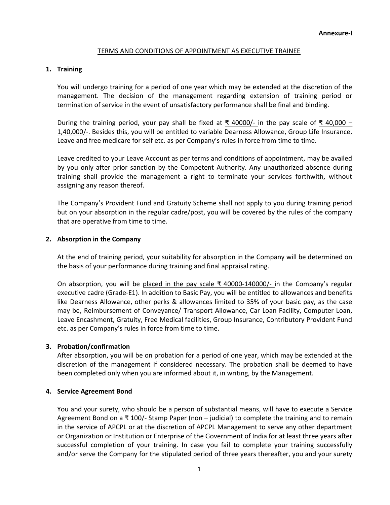### TERMS AND CONDITIONS OF APPOINTMENT AS EXECUTIVE TRAINEE

### 1. Training

You will undergo training for a period of one year which may be extended at the discretion of the management. The decision of the management regarding extension of training period or termination of service in the event of unsatisfactory performance shall be final and binding.

During the training period, your pay shall be fixed at  $\overline{\xi}$  40000/- in the pay scale of  $\overline{\xi}$  40,000 – 1,40,000/-. Besides this, you will be entitled to variable Dearness Allowance, Group Life Insurance, Leave and free medicare for self etc. as per Company's rules in force from time to time.

Leave credited to your Leave Account as per terms and conditions of appointment, may be availed by you only after prior sanction by the Competent Authority. Any unauthorized absence during training shall provide the management a right to terminate your services forthwith, without assigning any reason thereof.

The Company's Provident Fund and Gratuity Scheme shall not apply to you during training period but on your absorption in the regular cadre/post, you will be covered by the rules of the company that are operative from time to time.

### 2. Absorption in the Company

At the end of training period, your suitability for absorption in the Company will be determined on the basis of your performance during training and final appraisal rating.

On absorption, you will be placed in the pay scale  $\bar{x}$  40000-140000/- in the Company's regular executive cadre (Grade-E1). In addition to Basic Pay, you will be entitled to allowances and benefits like Dearness Allowance, other perks & allowances limited to 35% of your basic pay, as the case may be, Reimbursement of Conveyance/ Transport Allowance, Car Loan Facility, Computer Loan, Leave Encashment, Gratuity, Free Medical facilities, Group Insurance, Contributory Provident Fund etc. as per Company's rules in force from time to time.

# 3. Probation/confirmation

After absorption, you will be on probation for a period of one year, which may be extended at the discretion of the management if considered necessary. The probation shall be deemed to have been completed only when you are informed about it, in writing, by the Management.

# 4. Service Agreement Bond

You and your surety, who should be a person of substantial means, will have to execute a Service Agreement Bond on a ₹ 100/- Stamp Paper (non – judicial) to complete the training and to remain in the service of APCPL or at the discretion of APCPL Management to serve any other department or Organization or Institution or Enterprise of the Government of India for at least three years after successful completion of your training. In case you fail to complete your training successfully and/or serve the Company for the stipulated period of three years thereafter, you and your surety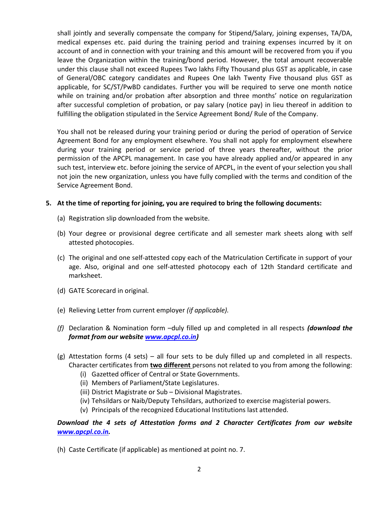shall jointly and severally compensate the company for Stipend/Salary, joining expenses, TA/DA, medical expenses etc. paid during the training period and training expenses incurred by it on account of and in connection with your training and this amount will be recovered from you if you leave the Organization within the training/bond period. However, the total amount recoverable under this clause shall not exceed Rupees Two lakhs Fifty Thousand plus GST as applicable, in case of General/OBC category candidates and Rupees One lakh Twenty Five thousand plus GST as applicable, for SC/ST/PwBD candidates. Further you will be required to serve one month notice while on training and/or probation after absorption and three months' notice on regularization after successful completion of probation, or pay salary (notice pay) in lieu thereof in addition to fulfilling the obligation stipulated in the Service Agreement Bond/ Rule of the Company.

You shall not be released during your training period or during the period of operation of Service Agreement Bond for any employment elsewhere. You shall not apply for employment elsewhere during your training period or service period of three years thereafter, without the prior permission of the APCPL management. In case you have already applied and/or appeared in any such test, interview etc. before joining the service of APCPL, in the event of your selection you shall not join the new organization, unless you have fully complied with the terms and condition of the Service Agreement Bond.

#### 5. At the time of reporting for joining, you are required to bring the following documents:

- (a) Registration slip downloaded from the website.
- (b) Your degree or provisional degree certificate and all semester mark sheets along with self attested photocopies.
- (c) The original and one self-attested copy each of the Matriculation Certificate in support of your age. Also, original and one self-attested photocopy each of 12th Standard certificate and marksheet.
- (d) GATE Scorecard in original.
- (e) Relieving Letter from current employer (if applicable).
- (f) Declaration & Nomination form –duly filled up and completed in all respects (**download the** format from our website www.apcpl.co.in)
- $(g)$  Attestation forms (4 sets) all four sets to be duly filled up and completed in all respects. Character certificates from two different persons not related to you from among the following:
	- (i) Gazetted officer of Central or State Governments.
	- (ii) Members of Parliament/State Legislatures.
	- (iii) District Magistrate or Sub Divisional Magistrates.
	- (iv) Tehsildars or Naib/Deputy Tehsildars, authorized to exercise magisterial powers.
	- (v) Principals of the recognized Educational Institutions last attended.

# Download the 4 sets of Attestation forms and 2 Character Certificates from our website www.apcpl.co.in.

(h) Caste Certificate (if applicable) as mentioned at point no. 7.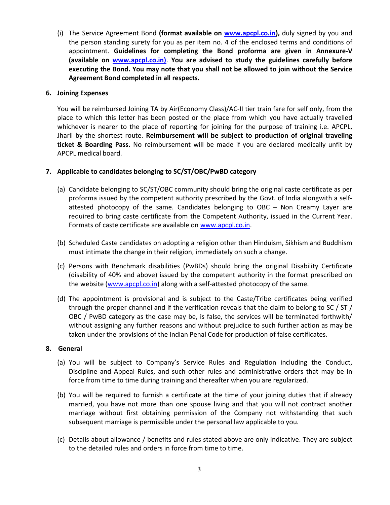(i) The Service Agreement Bond (format available on www.apcpl.co.in), duly signed by you and the person standing surety for you as per item no. 4 of the enclosed terms and conditions of appointment. Guidelines for completing the Bond proforma are given in Annexure-V (available on www.apcpl.co.in). You are advised to study the guidelines carefully before executing the Bond. You may note that you shall not be allowed to join without the Service Agreement Bond completed in all respects.

### 6. Joining Expenses

You will be reimbursed Joining TA by Air(Economy Class)/AC-II tier train fare for self only, from the place to which this letter has been posted or the place from which you have actually travelled whichever is nearer to the place of reporting for joining for the purpose of training i.e. APCPL, Jharli by the shortest route. Reimbursement will be subject to production of original traveling ticket & Boarding Pass. No reimbursement will be made if you are declared medically unfit by APCPL medical board.

# 7. Applicable to candidates belonging to SC/ST/OBC/PwBD category

- (a) Candidate belonging to SC/ST/OBC community should bring the original caste certificate as per proforma issued by the competent authority prescribed by the Govt. of India alongwith a selfattested photocopy of the same. Candidates belonging to OBC – Non Creamy Layer are required to bring caste certificate from the Competent Authority, issued in the Current Year. Formats of caste certificate are available on www.apcpl.co.in.
- (b) Scheduled Caste candidates on adopting a religion other than Hinduism, Sikhism and Buddhism must intimate the change in their religion, immediately on such a change.
- (c) Persons with Benchmark disabilities (PwBDs) should bring the original Disability Certificate (disability of 40% and above) issued by the competent authority in the format prescribed on the website (www.apcpl.co.in) along with a self-attested photocopy of the same.
- (d) The appointment is provisional and is subject to the Caste/Tribe certificates being verified through the proper channel and if the verification reveals that the claim to belong to SC / ST / OBC / PwBD category as the case may be, is false, the services will be terminated forthwith/ without assigning any further reasons and without prejudice to such further action as may be taken under the provisions of the Indian Penal Code for production of false certificates.

#### 8. General

- (a) You will be subject to Company's Service Rules and Regulation including the Conduct, Discipline and Appeal Rules, and such other rules and administrative orders that may be in force from time to time during training and thereafter when you are regularized.
- (b) You will be required to furnish a certificate at the time of your joining duties that if already married, you have not more than one spouse living and that you will not contract another marriage without first obtaining permission of the Company not withstanding that such subsequent marriage is permissible under the personal law applicable to you.
- (c) Details about allowance / benefits and rules stated above are only indicative. They are subject to the detailed rules and orders in force from time to time.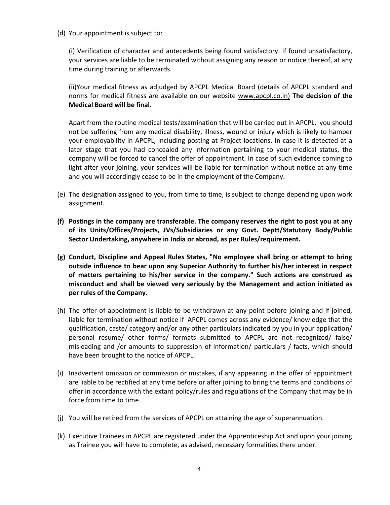(d) Your appointment is subject to:

(i) Verification of character and antecedents being found satisfactory. If found unsatisfactory, your services are liable to be terminated without assigning any reason or notice thereof, at any time during training or afterwards.

(ii)Your medical fitness as adjudged by APCPL Medical Board (details of APCPL standard and norms for medical fitness are available on our website www.apcpl.co.in) The decision of the Medical Board will be final.

Apart from the routine medical tests/examination that will be carried out in APCPL, you should not be suffering from any medical disability, illness, wound or injury which is likely to hamper your employability in APCPL, including posting at Project locations. In case it is detected at a later stage that you had concealed any information pertaining to your medical status, the company will be forced to cancel the offer of appointment. In case of such evidence coming to light after your joining, your services will be liable for termination without notice at any time and you will accordingly cease to be in the employment of the Company.

- (e) The designation assigned to you, from time to time, is subject to change depending upon work assignment.
- (f) Postings in the company are transferable. The company reserves the right to post you at any of its Units/Offices/Projects, JVs/Subsidiaries or any Govt. Deptt/Statutory Body/Public Sector Undertaking, anywhere in India or abroad, as per Rules/requirement.
- (g) Conduct, Discipline and Appeal Rules States, "No employee shall bring or attempt to bring outside influence to bear upon any Superior Authority to further his/her interest in respect of matters pertaining to his/her service in the company." Such actions are construed as misconduct and shall be viewed very seriously by the Management and action initiated as per rules of the Company.
- (h) The offer of appointment is liable to be withdrawn at any point before joining and if joined, liable for termination without notice if APCPL comes across any evidence/ knowledge that the qualification, caste/ category and/or any other particulars indicated by you in your application/ personal resume/ other forms/ formats submitted to APCPL are not recognized/ false/ misleading and /or amounts to suppression of information/ particulars / facts, which should have been brought to the notice of APCPL.
- (i) Inadvertent omission or commission or mistakes, if any appearing in the offer of appointment are liable to be rectified at any time before or after joining to bring the terms and conditions of offer in accordance with the extant policy/rules and regulations of the Company that may be in force from time to time.
- (j) You will be retired from the services of APCPL on attaining the age of superannuation.
- (k) Executive Trainees in APCPL are registered under the Apprenticeship Act and upon your joining as Trainee you will have to complete, as advised, necessary formalities there under.